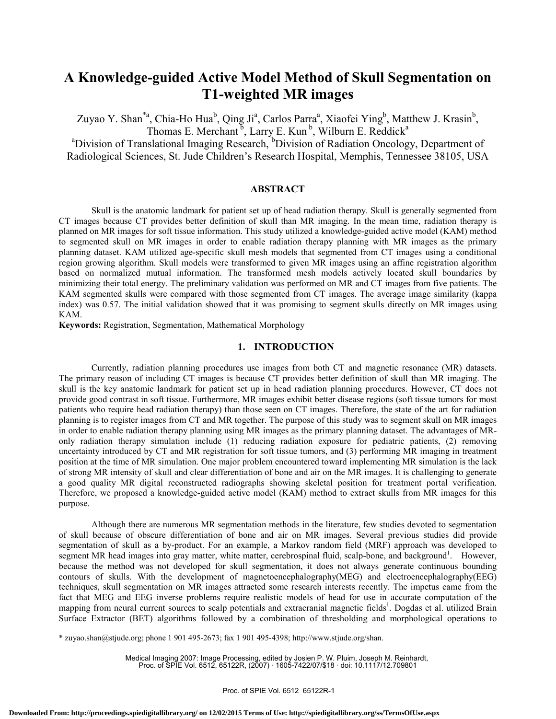# **A Knowledge-guided Active Model Method of Skull Segmentation on T1-weighted MR images**

Zuyao Y. Shan<sup>\*a</sup>, Chia-Ho Hua<sup>b</sup>, Qing Ji<sup>a</sup>, Carlos Parra<sup>a</sup>, Xiaofei Ying<sup>b</sup>, Matthew J. Krasin<sup>b</sup>, Thomas E. Merchant  $\overline{b}$ , Larry E. Kun  $\overline{b}$ , Wilburn E. Reddick<sup>a</sup>

<sup>a</sup>Division of Translational Imaging Research, <sup>b</sup>Division of Radiation Oncology, Department of Radiological Sciences, St. Jude Children's Research Hospital, Memphis, Tennessee 38105, USA

# **ABSTRACT**

Skull is the anatomic landmark for patient set up of head radiation therapy. Skull is generally segmented from CT images because CT provides better definition of skull than MR imaging. In the mean time, radiation therapy is planned on MR images for soft tissue information. This study utilized a knowledge-guided active model (KAM) method to segmented skull on MR images in order to enable radiation therapy planning with MR images as the primary planning dataset. KAM utilized age-specific skull mesh models that segmented from CT images using a conditional region growing algorithm. Skull models were transformed to given MR images using an affine registration algorithm based on normalized mutual information. The transformed mesh models actively located skull boundaries by minimizing their total energy. The preliminary validation was performed on MR and CT images from five patients. The KAM segmented skulls were compared with those segmented from CT images. The average image similarity (kappa index) was 0.57. The initial validation showed that it was promising to segment skulls directly on MR images using KAM.

**Keywords:** Registration, Segmentation, Mathematical Morphology

# **1. INTRODUCTION**

Currently, radiation planning procedures use images from both CT and magnetic resonance (MR) datasets. The primary reason of including CT images is because CT provides better definition of skull than MR imaging. The skull is the key anatomic landmark for patient set up in head radiation planning procedures. However, CT does not provide good contrast in soft tissue. Furthermore, MR images exhibit better disease regions (soft tissue tumors for most patients who require head radiation therapy) than those seen on CT images. Therefore, the state of the art for radiation planning is to register images from CT and MR together. The purpose of this study was to segment skull on MR images in order to enable radiation therapy planning using MR images as the primary planning dataset. The advantages of MRonly radiation therapy simulation include (1) reducing radiation exposure for pediatric patients, (2) removing uncertainty introduced by CT and MR registration for soft tissue tumors, and (3) performing MR imaging in treatment position at the time of MR simulation. One major problem encountered toward implementing MR simulation is the lack of strong MR intensity of skull and clear differentiation of bone and air on the MR images. It is challenging to generate a good quality MR digital reconstructed radiographs showing skeletal position for treatment portal verification. Therefore, we proposed a knowledge-guided active model (KAM) method to extract skulls from MR images for this purpose.

Although there are numerous MR segmentation methods in the literature, few studies devoted to segmentation of skull because of obscure differentiation of bone and air on MR images. Several previous studies did provide segmentation of skull as a by-product. For an example, a Markov random field (MRF) approach was developed to segment MR head images into gray matter, white matter, cerebrospinal fluid, scalp-bone, and background<sup>1</sup>. However, because the method was not developed for skull segmentation, it does not always generate continuous bounding contours of skulls. With the development of magnetoencephalography(MEG) and electroencephalography(EEG) techniques, skull segmentation on MR images attracted some research interests recently. The impetus came from the fact that MEG and EEG inverse problems require realistic models of head for use in accurate computation of the mapping from neural current sources to scalp potentials and extracranial magnetic fields<sup>1</sup>. Dogdas et al. utilized Brain Surface Extractor (BET) algorithms followed by a combination of thresholding and morphological operations to

\* zuyao.shan@stjude.org; phone 1 901 495-2673; fax 1 901 495-4398; http://www.stjude.org/shan.

Medical Imaging 2007: Image Processing, edited by Josien P. W. Pluim, Joseph M. Reinhardt, Proc. of SPIE Vol. 6512, 65122R, (2007) · 1605-7422/07/\$18 · doi: 10.1117/12.709801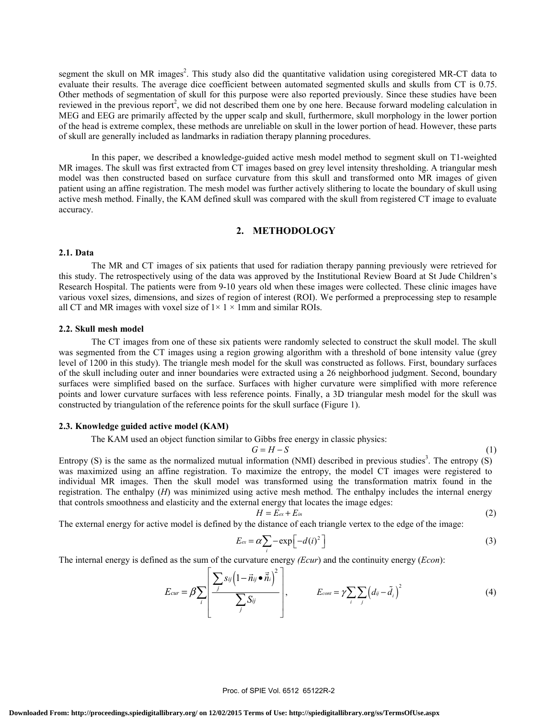segment the skull on MR images<sup>2</sup>. This study also did the quantitative validation using coregistered MR-CT data to evaluate their results. The average dice coefficient between automated segmented skulls and skulls from CT is 0.75. Other methods of segmentation of skull for this purpose were also reported previously. Since these studies have been reviewed in the previous report<sup>2</sup>, we did not described them one by one here. Because forward modeling calculation in MEG and EEG are primarily affected by the upper scalp and skull, furthermore, skull morphology in the lower portion of the head is extreme complex, these methods are unreliable on skull in the lower portion of head. However, these parts of skull are generally included as landmarks in radiation therapy planning procedures.

In this paper, we described a knowledge-guided active mesh model method to segment skull on T1-weighted MR images. The skull was first extracted from CT images based on grey level intensity thresholding. A triangular mesh model was then constructed based on surface curvature from this skull and transformed onto MR images of given patient using an affine registration. The mesh model was further actively slithering to locate the boundary of skull using active mesh method. Finally, the KAM defined skull was compared with the skull from registered CT image to evaluate accuracy.

# **2. METHODOLOGY**

### **2.1. Data**

The MR and CT images of six patients that used for radiation therapy panning previously were retrieved for this study. The retrospectively using of the data was approved by the Institutional Review Board at St Jude Children's Research Hospital. The patients were from 9-10 years old when these images were collected. These clinic images have various voxel sizes, dimensions, and sizes of region of interest (ROI). We performed a preprocessing step to resample all CT and MR images with voxel size of  $1 \times 1 \times 1$  mm and similar ROIs.

# **2.2. Skull mesh model**

The CT images from one of these six patients were randomly selected to construct the skull model. The skull was segmented from the CT images using a region growing algorithm with a threshold of bone intensity value (grey level of 1200 in this study). The triangle mesh model for the skull was constructed as follows. First, boundary surfaces of the skull including outer and inner boundaries were extracted using a 26 neighborhood judgment. Second, boundary surfaces were simplified based on the surface. Surfaces with higher curvature were simplified with more reference points and lower curvature surfaces with less reference points. Finally, a 3D triangular mesh model for the skull was constructed by triangulation of the reference points for the skull surface (Figure 1).

### **2.3. Knowledge guided active model (KAM)**

The KAM used an object function similar to Gibbs free energy in classic physics:

$$
G = H - S \tag{1}
$$

Entropy (S) is the same as the normalized mutual information (NMI) described in previous studies<sup>3</sup>. The entropy  $(S)$ was maximized using an affine registration. To maximize the entropy, the model CT images were registered to individual MR images. Then the skull model was transformed using the transformation matrix found in the registration. The enthalpy (*H*) was minimized using active mesh method. The enthalpy includes the internal energy that controls smoothness and elasticity and the external energy that locates the image edges:

$$
H = E_{ex} + E_{in}
$$
 (2)

The external energy for active model is defined by the distance of each triangle vertex to the edge of the image:

$$
E_{ex} = \alpha \sum_{i} -\exp\left[-d(i)^{2}\right] \tag{3}
$$

The internal energy is defined as the sum of the curvature energy *(Ecur*) and the continuity energy (*Econ*):

$$
E_{cur} = \beta \sum_{i} \left[ \frac{\sum_{j} s_{ij} \left( 1 - \vec{n}_{ij} \bullet \vec{\hat{n}}_{i} \right)^{2}}{\sum_{j} S_{ij}} \right], \qquad E_{cont} = \gamma \sum_{i} \sum_{j} \left( d_{ij} - \tilde{d}_{i} \right)^{2} \qquad (4)
$$

#### Proc. of SPIE Vol. 6512 65122R-2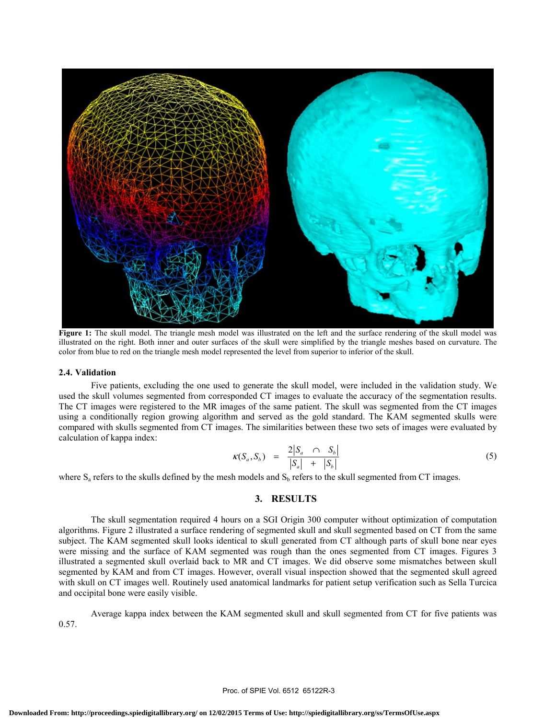

**Figure 1:** The skull model. The triangle mesh model was illustrated on the left and the surface rendering of the skull model was illustrated on the right. Both inner and outer surfaces of the skull were simplified by the triangle meshes based on curvature. The color from blue to red on the triangle mesh model represented the level from superior to inferior of the skull.

#### **2.4. Validation**

Five patients, excluding the one used to generate the skull model, were included in the validation study. We used the skull volumes segmented from corresponded CT images to evaluate the accuracy of the segmentation results. The CT images were registered to the MR images of the same patient. The skull was segmented from the CT images using a conditionally region growing algorithm and served as the gold standard. The KAM segmented skulls were compared with skulls segmented from CT images. The similarities between these two sets of images were evaluated by calculation of kappa index:

$$
\kappa(S_a, S_b) = \frac{2|S_a \cap S_b|}{|S_a| + |S_b|} \tag{5}
$$

where  $S_a$  refers to the skulls defined by the mesh models and  $S_b$  refers to the skull segmented from CT images.

### **3. RESULTS**

The skull segmentation required 4 hours on a SGI Origin 300 computer without optimization of computation algorithms. Figure 2 illustrated a surface rendering of segmented skull and skull segmented based on CT from the same subject. The KAM segmented skull looks identical to skull generated from CT although parts of skull bone near eyes were missing and the surface of KAM segmented was rough than the ones segmented from CT images. Figures 3 illustrated a segmented skull overlaid back to MR and CT images. We did observe some mismatches between skull segmented by KAM and from CT images. However, overall visual inspection showed that the segmented skull agreed with skull on CT images well. Routinely used anatomical landmarks for patient setup verification such as Sella Turcica and occipital bone were easily visible.

Average kappa index between the KAM segmented skull and skull segmented from CT for five patients was 0.57.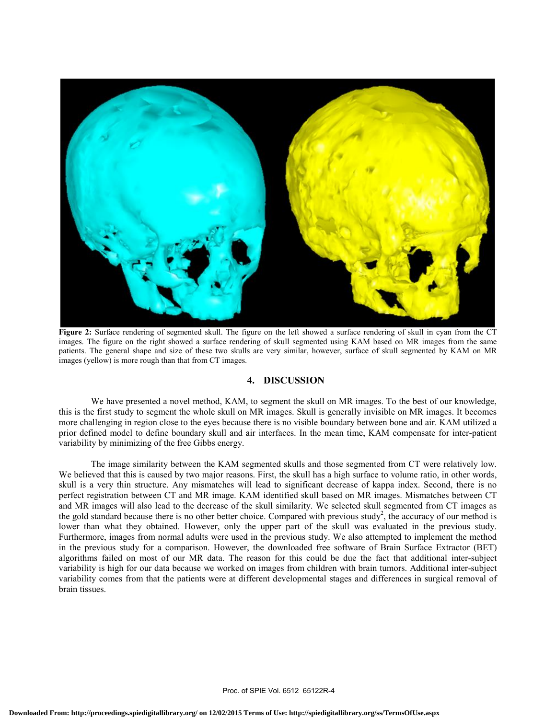

**Figure 2:** Surface rendering of segmented skull. The figure on the left showed a surface rendering of skull in cyan from the CT images. The figure on the right showed a surface rendering of skull segmented using KAM based on MR images from the same patients. The general shape and size of these two skulls are very similar, however, surface of skull segmented by KAM on MR images (yellow) is more rough than that from CT images.

# **4. DISCUSSION**

We have presented a novel method, KAM, to segment the skull on MR images. To the best of our knowledge, this is the first study to segment the whole skull on MR images. Skull is generally invisible on MR images. It becomes more challenging in region close to the eyes because there is no visible boundary between bone and air. KAM utilized a prior defined model to define boundary skull and air interfaces. In the mean time, KAM compensate for inter-patient variability by minimizing of the free Gibbs energy.

The image similarity between the KAM segmented skulls and those segmented from CT were relatively low. We believed that this is caused by two major reasons. First, the skull has a high surface to volume ratio, in other words, skull is a very thin structure. Any mismatches will lead to significant decrease of kappa index. Second, there is no perfect registration between CT and MR image. KAM identified skull based on MR images. Mismatches between CT and MR images will also lead to the decrease of the skull similarity. We selected skull segmented from CT images as the gold standard because there is no other better choice. Compared with previous study<sup>2</sup>, the accuracy of our method is lower than what they obtained. However, only the upper part of the skull was evaluated in the previous study. Furthermore, images from normal adults were used in the previous study. We also attempted to implement the method in the previous study for a comparison. However, the downloaded free software of Brain Surface Extractor (BET) algorithms failed on most of our MR data. The reason for this could be due the fact that additional inter-subject variability is high for our data because we worked on images from children with brain tumors. Additional inter-subject variability comes from that the patients were at different developmental stages and differences in surgical removal of brain tissues.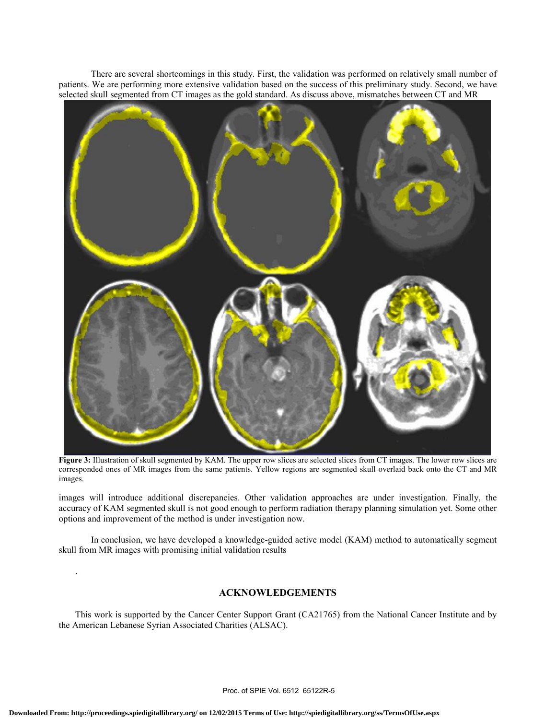There are several shortcomings in this study. First, the validation was performed on relatively small number of patients. We are performing more extensive validation based on the success of this preliminary study. Second, we have selected skull segmented from CT images as the gold standard. As discuss above, mismatches between CT and MR



**Figure 3:** Illustration of skull segmented by KAM. The upper row slices are selected slices from CT images. The lower row slices are corresponded ones of MR images from the same patients. Yellow regions are segmented skull overlaid back onto the CT and MR images.

images will introduce additional discrepancies. Other validation approaches are under investigation. Finally, the accuracy of KAM segmented skull is not good enough to perform radiation therapy planning simulation yet. Some other options and improvement of the method is under investigation now.

In conclusion, we have developed a knowledge-guided active model (KAM) method to automatically segment skull from MR images with promising initial validation results

# **ACKNOWLEDGEMENTS**

This work is supported by the Cancer Center Support Grant (CA21765) from the National Cancer Institute and by the American Lebanese Syrian Associated Charities (ALSAC).

.